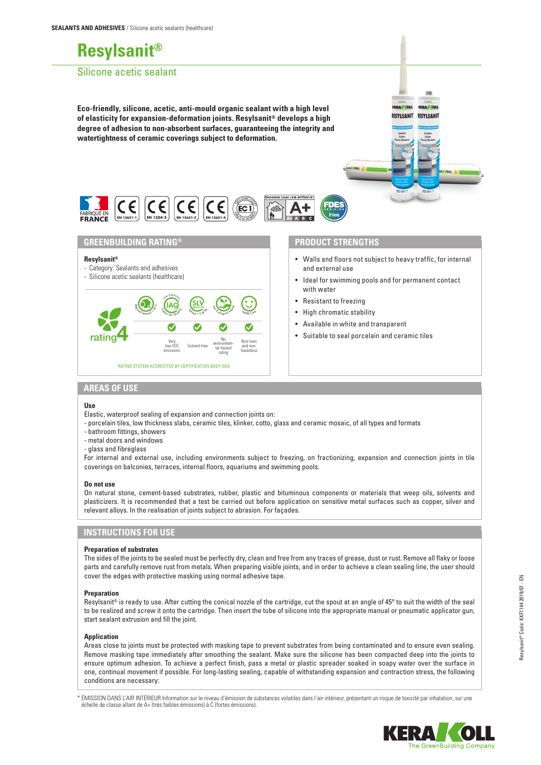# **Resylsanit®**

## Silicone acetic sealant

**Eco-friendly, silicone, acetic, anti-mould organic sealant with a high level of elasticity for expansion-deformation joints. Resylsanit® develops a high degree of adhesion to non-absorbent surfaces, guaranteeing the integrity and watertightness of ceramic coverings subject to deformation.**



## **GREENBUILDING RATING®**

#### **Resylsanit®**

- Category: Sealants and adhesives
- Silicone acetic sealants (healthcare)



## **PRODUCT STRENGTHS**

• Walls and floors not subject to heavy traffic, for internal and external use

维

**KERA KOL** 

RESYLSANI

RA **COLL** 

RESYLSANIT

- Ideal for swimming pools and for permanent contact with water
- Resistant to freezing
- High chromatic stability
- Available in white and transparent
- Suitable to seal porcelain and ceramic tiles

# **AREAS OF USE**

#### **Use**

Elastic, waterproof sealing of expansion and connection joints on:

- porcelain tiles, low thickness slabs, ceramic tiles, klinker, cotto, glass and ceramic mosaic, of all types and formats
- bathroom fittings, showers
- metal doors and windows
- glass and fibreglass

For internal and external use, including environments subject to freezing, on fractionizing, expansion and connection joints in tile coverings on balconies, terraces, internal floors, aquariums and swimming pools.

#### **Do not use**

On natural stone, cement-based substrates, rubber, plastic and bituminous components or materials that weep oils, solvents and plasticizers. It is recommended that a test be carried out before application on sensitive metal surfaces such as copper, silver and relevant alloys. In the realisation of joints subject to abrasion. For façades.

## **INSTRUCTIONS FOR USE**

#### **Preparation of substrates**

The sides of the joints to be sealed must be perfectly dry, clean and free from any traces of grease, dust or rust. Remove all flaky or loose parts and carefully remove rust from metals. When preparing visible joints, and in order to achieve a clean sealing line, the user should cover the edges with protective masking using normal adhesive tape.

#### **Preparation**

Resylsanit® is ready to use. After cutting the conical nozzle of the cartridge, cut the spout at an angle of 45° to suit the width of the seal to be realized and screw it onto the cartridge. Then insert the tube of silicone into the appropriate manual or pneumatic applicator gun, start sealant extrusion and fill the joint.

#### **Application**

Areas close to joints must be protected with masking tape to prevent substrates from being contaminated and to ensure even sealing. Remove masking tape immediately after smoothing the sealant. Make sure the silicone has been compacted deep into the joints to ensure optimum adhesion. To achieve a perfect finish, pass a metal or plastic spreader soaked in soapy water over the surface in one, continual movement if possible. For long-lasting sealing, capable of withstanding expansion and contraction stress, the following conditions are necessary:

\* ÉMISSION DANS L'AIR INTÉRIEUR Information sur le niveau d'émission de substances volatiles dans l'air intérieur, présentant un risque de toxicité par inhalation, sur une échelle de classe allant de A+ (très faibles émissions) à C (fortes émissions).

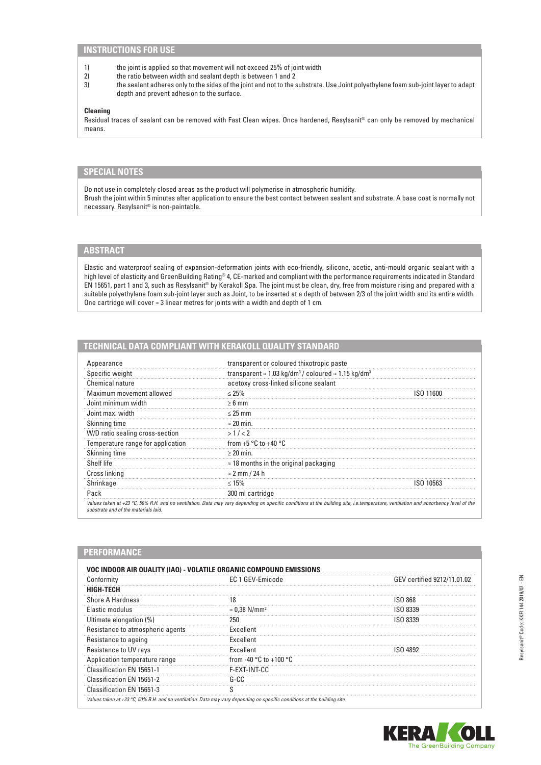## **INSTRUCTIONS FOR USE**

- 1) the joint is applied so that movement will not exceed 25% of joint width<br>2) the ratio between width and sealant depth is between 1 and 2
- 2) the ratio between width and sealant depth is between 1 and 2<br>3) the sealant adheres only to the sides of the joint and not to the
- 3) the sealant adheres only to the sides of the joint and not to the substrate. Use Joint polyethylene foam sub-joint layer to adapt depth and prevent adhesion to the surface.

#### **Cleaning**

Residual traces of sealant can be removed with Fast Clean wipes. Once hardened, Resylsanit® can only be removed by mechanical means.

## **SPECIAL NOTES**

Do not use in completely closed areas as the product will polymerise in atmospheric humidity. Brush the joint within 5 minutes after application to ensure the best contact between sealant and substrate. A base coat is normally not necessary. Resylsanit® is non-paintable.

# **ABSTRACT**

**PERFORMANCE**

Elastic and waterproof sealing of expansion-deformation joints with eco-friendly, silicone, acetic, anti-mould organic sealant with a high level of elasticity and GreenBuilding Rating® 4, CE-marked and compliant with the performance requirements indicated in Standard EN 15651, part 1 and 3, such as Resylsanit® by Kerakoll Spa. The joint must be clean, dry, free from moisture rising and prepared with a suitable polyethylene foam sub-joint layer such as Joint, to be inserted at a depth of between 2/3 of the joint width and its entire width. One cartridge will cover ≈ 3 linear metres for joints with a width and depth of 1 cm.

# **TECHNICAL DATA COMPLIANT WITH KERAKOLL QUALITY STANDARD**

| Appearance                        | transparent or coloured thixotropic paste                                                  |           |  |  |
|-----------------------------------|--------------------------------------------------------------------------------------------|-----------|--|--|
| Specific weight                   | transparent $\approx 1.03$ kg/dm <sup>3</sup> / coloured $\approx 1.15$ kg/dm <sup>3</sup> |           |  |  |
| Chemical nature                   | acetoxy cross-linked silicone sealant                                                      |           |  |  |
| Maximum movement allowed          | $< 25\%$                                                                                   | ISU TIKU  |  |  |
| Joint minimum width               | $\geq 6$ mm                                                                                |           |  |  |
| Joint max, width                  | $\leq$ 25 mm                                                                               |           |  |  |
| Skinning time                     | $\approx$ 20 min.                                                                          |           |  |  |
| W/D ratio sealing cross-section   | >1/2                                                                                       |           |  |  |
| Temperature range for application | from $+5$ °C to $+40$ °C                                                                   |           |  |  |
| Skinning time                     | $\geq$ 20 min.                                                                             |           |  |  |
| Shelf life                        | $\approx$ 18 months in the original packaging                                              |           |  |  |
| Cross linking                     | $\approx$ 2 mm / 24 h                                                                      |           |  |  |
| Shrinkage                         | $\leq 15\%$                                                                                | ISO 10563 |  |  |
| Pack                              | 300 ml cartridge                                                                           |           |  |  |

| Conformity                       | EC 1 GEV-Emicode                           | GEV certified 9212/11.01.02 |  |  |
|----------------------------------|--------------------------------------------|-----------------------------|--|--|
| <b>HIGH-TECH</b>                 |                                            |                             |  |  |
| <b>Shore A Hardness</b>          | 18                                         | ISO 868                     |  |  |
| Elastic modulus                  | $\approx$ 0,38 N/mm <sup>2</sup>           | ISO 8339                    |  |  |
| Ultimate elongation (%)          | 250                                        | ISO 8339                    |  |  |
| Resistance to atmospheric agents | Excellent                                  |                             |  |  |
| Resistance to ageing             | Excellent                                  |                             |  |  |
| Resistance to UV rays            | Excellent                                  | ISN 4892                    |  |  |
| Application temperature range    | from -40 $^{\circ}$ C to +100 $^{\circ}$ C |                             |  |  |
| Classification EN 15651-1        | F-EXT-INT-CC                               |                             |  |  |
| Classification EN 15651-2        | G-CC                                       |                             |  |  |
| Classification EN 15651-3        |                                            |                             |  |  |